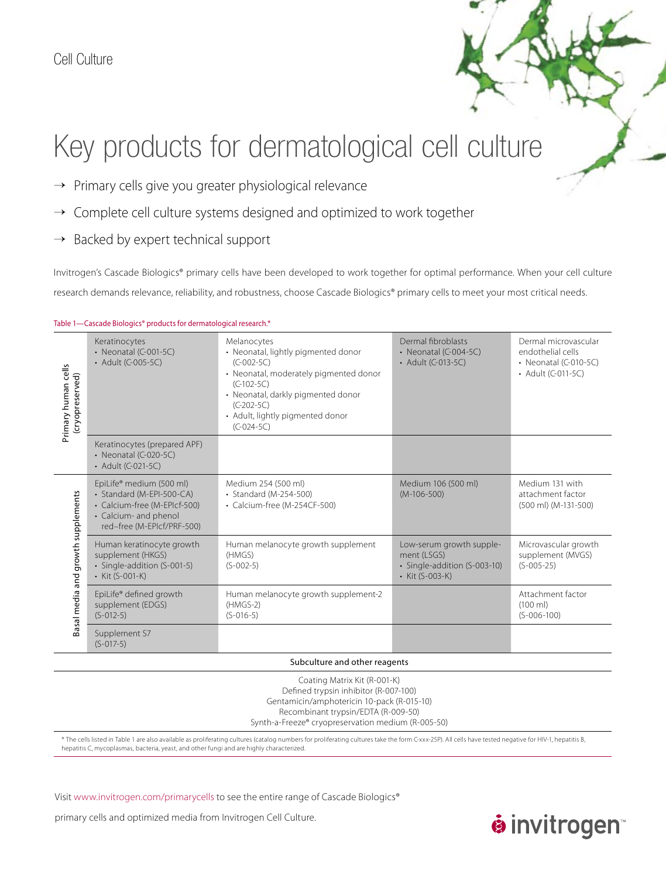### Cell Culture

# Key products for dermatological cell culture

- → Primary cells give you greater physiological relevance
- → Complete cell culture systems designed and optimized to work together
- Backed by expert technical support  $\rightarrow$

Invitrogen's Cascade Biologics® primary cells have been developed to work together for optimal performance. When your cell culture research demands relevance, reliability, and robustness, choose Cascade Biologics® primary cells to meet your most critical needs.

### Table 1—Cascade Biologics® products for dermatological research.\*

| Primary human cells<br>(cryopreserved) | Keratinocytes<br>$\cdot$ Neonatal (C-001-5C)<br>• Adult (C-005-5C)                                                                           | Melanocytes<br>• Neonatal, lightly pigmented donor<br>$(C-002-5C)$<br>• Neonatal, moderately pigmented donor<br>$(C-102-5C)$<br>• Neonatal, darkly pigmented donor<br>$(C-202-5C)$<br>• Adult, lightly pigmented donor<br>$(C-024-5C)$ | Dermal fibroblasts<br>$\cdot$ Neonatal (C-004-5C)<br>• Adult (C-013-5C)                    | Dermal microvascular<br>endothelial cells<br>$\cdot$ Neonatal (C-010-5C)<br>• Adult (C-011-5C) |  |
|----------------------------------------|----------------------------------------------------------------------------------------------------------------------------------------------|----------------------------------------------------------------------------------------------------------------------------------------------------------------------------------------------------------------------------------------|--------------------------------------------------------------------------------------------|------------------------------------------------------------------------------------------------|--|
|                                        | Keratinocytes (prepared APF)<br>$\cdot$ Neonatal (C-020-5C)<br>• Adult (C-021-5C)                                                            |                                                                                                                                                                                                                                        |                                                                                            |                                                                                                |  |
| Basal media and growth supplements     | EpiLife® medium (500 ml)<br>• Standard (M-EPI-500-CA)<br>• Calcium-free (M-EPIcf-500)<br>• Calcium- and phenol<br>red-free (M-EPIcf/PRF-500) | Medium 254 (500 ml)<br>• Standard (M-254-500)<br>• Calcium-free (M-254CF-500)                                                                                                                                                          | Medium 106 (500 ml)<br>$(M-106-500)$                                                       | Medium 131 with<br>attachment factor<br>(500 ml) (M-131-500)                                   |  |
|                                        | Human keratinocyte growth<br>supplement (HKGS)<br>· Single-addition (S-001-5)<br>• Kit (S-001-K)                                             | Human melanocyte growth supplement<br>(HMGS)<br>$(S-002-5)$                                                                                                                                                                            | Low-serum growth supple-<br>ment (LSGS)<br>· Single-addition (S-003-10)<br>• Kit (S-003-K) | Microvascular growth<br>supplement (MVGS)<br>$(S-005-25)$                                      |  |
|                                        | EpiLife® defined growth<br>supplement (EDGS)<br>$(S-012-5)$                                                                                  | Human melanocyte growth supplement-2<br>$(HMGS-2)$<br>$(S-016-5)$                                                                                                                                                                      |                                                                                            | Attachment factor<br>$(100 \text{ ml})$<br>$(S-006-100)$                                       |  |
|                                        | Supplement S7<br>$(S-017-5)$                                                                                                                 |                                                                                                                                                                                                                                        |                                                                                            |                                                                                                |  |
| Subculture and other reagents          |                                                                                                                                              |                                                                                                                                                                                                                                        |                                                                                            |                                                                                                |  |
| Coating Matrix Kit (R-001-K)           |                                                                                                                                              |                                                                                                                                                                                                                                        |                                                                                            |                                                                                                |  |

Defined trypsin inhibitor (R-007-100) Gentamicin/amphotericin 10-pack (R-015-10) Recombinant trypsin/EDTA (R-009-50) Synth-a-Freeze® cryopreservation medium (R-005-50)

\* The cells listed in Table 1 are also available as proliferating cultures (catalog numbers for proliferating cultures take the form C-xxx-25P). All cells have tested negative for HIV-1, hepatitis B, hepatitis C, mycoplasmas, bacteria, yeast, and other fungi and are highly characterized.

Visit www.invitrogen.com/primarycells to see the entire range of Cascade Biologics®

primary cells and optimized media from Invitrogen Cell Culture.

## **øinvitrogen**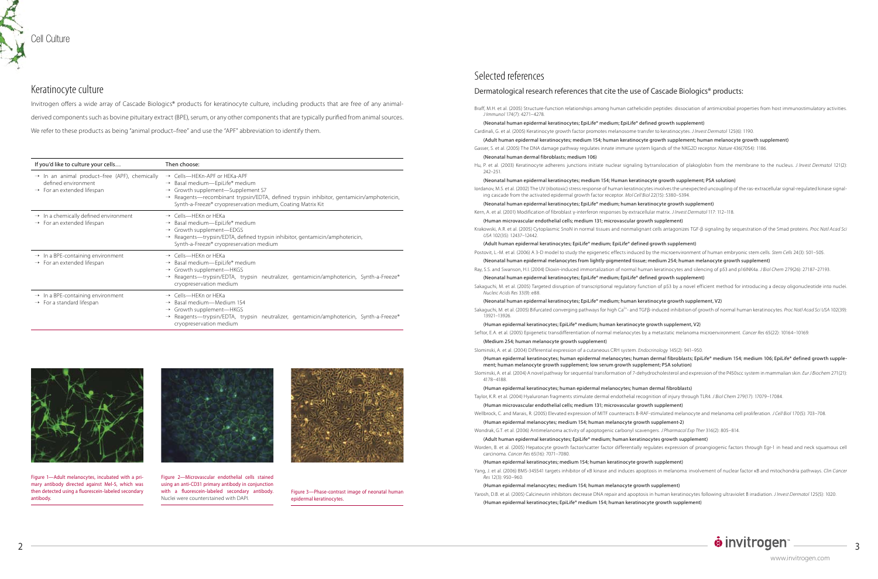Figure 1—Adult melanocytes, incubated with a primary antibody directed against Mel-5, which was then detected using a fluorescein-labeled secondary antibody.



Figure 2—Microvascular endothelial cells stained using an anti-CD31 primary antibody in conjunction with a fluorescein-labeled secondary antibody. Nuclei were counterstained with DAPI.



Figure 3—Phase-contrast image of neonatal human epidermal keratinocytes.

### Selected references

### Dermatological research references that cite the use of Cascade Biologics® products:

Braff, M.H. et al. (2005) Structure-function relationships among human cathelicidin peptides: dissociation of antimicrobial properties from host immunostimulatory activities. *J Immunol* 174(7): 4271–4278.

(Neonatal human epidermal keratinocytes; EpiLife® medium; EpiLife® defined growth supplement) Cardinali, G. et al. (2005) Keratinocyte growth factor promotes melanosome transfer to keratinocytes. *J Invest Dermatol* 125(6): 1190.

(Adult human epidermal keratinocytes; medium 154; human keratinocyte growth supplement; human melanocyte growth supplement) Gasser, S. et al. (2005) The DNA damage pathway regulates innate immune system ligands of the NKG2D receptor. *Nature* 436(7054): 1186.

(Neonatal human dermal fibroblasts; medium 106)

Hu, P. et al. (2003) Keratinocyte adherens junctions initiate nuclear signaling bytranslocation of plakoglobin from the membrane to the nucleus. *J Invest Dermatol* 121(2): 242–251.

(Neonatal human epidermal keratinocytes; medium 154; Human keratinocyte growth supplement; PSA solution) Iordanov, M.S. et al. (2002) The UV (ribotoxic) stress response of human keratinocytes involves the unexpected uncoupling of the ras-extracellular signal-regulated kinase signaling cascade from the activated epidermal growth factor receptor. *Mol Cell Biol* 22(15): 5380–5394.

Sakaguchi, M. et al. (2005) Bifurcated converging pathways for high Ca<sup>2+</sup>- and TGFβ-induced inhibition of growth of normal human keratinocytes. *Proc Natl Acad Sci USA* 102(39): 13921–13926.

(Neonatal human epidermal keratinocytes; EpiLife® medium; human keratinocyte growth supplement)

Kern, A. et al. (2001) Modification of fibroblast γ-interferon responses by extracellular matrix. *J Invest Dermatol* 117: 112–118.

(Human microvascular endothelial cells; medium 131; microvascular growth supplement)

Krakowski, A.R. et al. (2005) Cytoplasmic SnoN in normal tissues and nonmalignant cells antagonizes TGF-β signaling by sequestration of the Smad proteins. *Proc Natl Acad Sci USA* 102(35): 12437–12442.

(Adult human epidermal keratinocytes; EpiLife® medium; EpiLife® defined growth supplement) Postovit, L.-M. et al. (2006) A 3-D model to study the epigenetic effects induced by the microenvironment of human embryonic stem cells. *Stem Cells* 24(3): 501–505.

(Neonatal human epidermal melanocytes from lightly-pigmented tissue; medium 254; human melanocyte growth supplement) Ray, S.S. and Swanson, H.I. (2004) Dioxin-induced immortalization of normal human keratinocytes and silencing of p53 and p16INK4a. *J Biol Chem* 279(26): 27187–27193.

(Neonatal human epidermal keratinocytes; EpiLife® medium; EpiLife® defined growth supplement)

Sakaguchi, M. et al. (2005) Targeted disruption of transcriptional regulatory function of p53 by a novel efficient method for introducing a decoy oligonucleotide into nuclei. *Nucleic Acids Res* 33(9): e88.

(Neonatal human epidermal keratinocytes; EpiLife® medium; human keratinocyte growth supplement, V2)

(Human epidermal keratinocytes; EpiLife® medium; human keratinocyte growth supplement, V2)

Invitrogen offers a wide array of Cascade Biologics® products for keratinocyte culture, including products that are free of any animalderived components such as bovine pituitary extract (BPE), serum, or any other components that are typically purified from animal sources. We refer to these products as being "animal product-free" and use the "APF" abbreviation to identify them.

Seftor, E.A. et al. (2005) Epigenetic transdifferentiation of normal melanocytes by a metastatic melanoma microenvironment. *Cancer Res* 65(22): 10164–10169.

(Medium 254; human melanocyte growth supplement)

Slominski, A. et al. (2004) Differential expression of a cutaneous CRH system. *Endocrinology* 145(2): 941–950.

## (Human epidermal keratinocytes; human epidermal melanocytes; human dermal fibroblasts; EpiLife® medium 154; medium 106; EpiLife® defined growth supple-

## $\dot{\mathbf{e}}$  invitrogen  $\frac{1}{3}$

ment; human melanocyte growth supplement; low serum growth supplement; PSA solution)

Slominski, A. et al. (2004) A novel pathway for sequential transformation of 7-dehydrocholesterol and expression of the P450scc system in mammalian skin. *Eur J Biochem* 271(21): 4178–4188.

(Human epidermal keratinocytes; human epidermal melanocytes; human dermal fibroblasts) Taylor, K.R. et al. (2004) Hyaluronan fragments stimulate dermal endothelial recognition of injury through TLR4. *J Biol Chem* 279(17): 17079–17084.

(Human microvascular endothelial cells; medium 131; microvascular growth supplement)

Wellbrock, C. and Marais, R. (2005) Elevated expression of MITF counteracts B-RAF-stimulated melanocyte and melanoma cell proliferation. *J Cell Biol* 170(5): 703–708. (Human epidermal melanocytes; medium 154; human melanocyte growth supplement-2)

Wondrak, G.T. et al. (2006) Antimelanoma activity of apoptogenic carbonyl scavengers. *J Pharmacol Exp Ther* 316(2): 805–814.

(Adult human epidermal keratinocytes; EpiLife® medium; human keratinocytes growth supplement)

Worden, B. et al. (2005) Hepatocyte growth factor/scatter factor differentially regulates expression of proangiogenic factors through Egr-1 in head and neck squamous cell carcinoma. *Cancer Res* 65(16): 7071–7080.

(Human epidermal keratinocytes; medium 154; human keratinocyte growth supplement)

Yang, J. et al. (2006) BMS-345541 targets inhibitor of κB kinase and induces apoptosis in melanoma: involvement of nuclear factor κB and mitochondria pathways. *Clin Cancer Res* 12(3): 950–960.

(Human epidermal melanocytes; medium 154; human melanocyte growth supplement) Yarosh, D.B. et al. (2005) Calcineurin inhibitors decrease DNA repair and apoptosis in human keratinocytes following ultraviolet B irradiation. *J Invest Dermatol* 125(5): 1020. (Human epidermal keratinocytes; EpiLife® medium 154; human keratinocyte growth supplement)

| If you'd like to culture your cells                                                                                        | Then choose:                                                                                                                                                                                                                                                                                                   |  |  |
|----------------------------------------------------------------------------------------------------------------------------|----------------------------------------------------------------------------------------------------------------------------------------------------------------------------------------------------------------------------------------------------------------------------------------------------------------|--|--|
| $\rightarrow$ In an animal product-free (APF), chemically<br>defined environment<br>$\rightarrow$ For an extended lifespan | $\rightarrow$ Cells-HEKn-APF or HEKa-APF<br>$\rightarrow$ Basal medium-EpiLife® medium<br>$\rightarrow$ Growth supplement-Supplement S7<br>$\rightarrow$ Reagents—recombinant trypsin/EDTA, defined trypsin inhibitor, gentamicin/amphotericin,<br>Synth-a-Freeze® cryopreservation medium, Coating Matrix Kit |  |  |
| $\rightarrow$ In a chemically defined environment<br>$\rightarrow$ For an extended lifespan                                | $\rightarrow$ Cells—HEKn or HEKa<br>$\rightarrow$ Basal medium-EpiLife® medium<br>$\rightarrow$ Growth supplement-EDGS<br>$\rightarrow$ Reagents—trypsin/EDTA, defined trypsin inhibitor, gentamicin/amphotericin,<br>Synth-a-Freeze® cryopreservation medium                                                  |  |  |
| $\rightarrow$ In a BPE-containing environment<br>$\rightarrow$ For an extended lifespan                                    | $\rightarrow$ Cells—HFKn or HFKa<br>→ Basal medium-EpiLife® medium<br>$\rightarrow$ Growth supplement-HKGS<br>$\rightarrow$ Reagents—trypsin/EDTA, trypsin neutralizer, gentamicin/amphotericin, Synth-a-Freeze®<br>cryopreservation medium                                                                    |  |  |
| $\rightarrow$ In a BPE-containing environment<br>$\rightarrow$ For a standard lifespan                                     | $\rightarrow$ Cells—HEKn or HEKa<br>$\rightarrow$ Basal medium—Medium 154<br>$\rightarrow$ Growth supplement-HKGS<br>$\rightarrow$ Reagents—trypsin/EDTA, trypsin neutralizer, gentamicin/amphotericin, Synth-a-Freeze®<br>cryopreservation medium                                                             |  |  |



### Keratinocyte culture